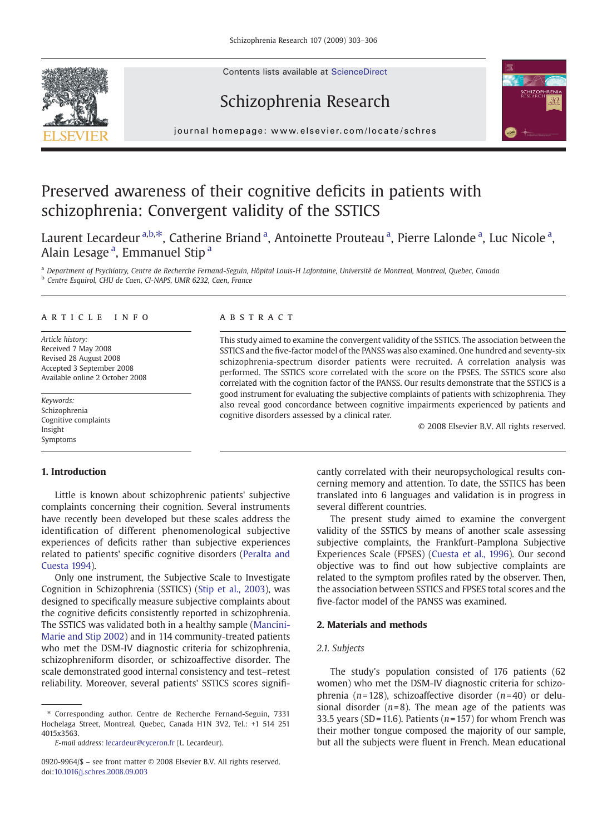Contents lists available at ScienceDirect





j o u r n a l h om e p a g e : www. e l s ev i e r. c om / l o c a t e / s c h r e s

# Preserved awareness of their cognitive deficits in patients with schizophrenia: Convergent validity of the SSTICS

Laurent Lecardeur <sup>a,b, $*$ </sup>, Catherine Briand <sup>a</sup>, Antoinette Prouteau <sup>a</sup>, Pierre Lalonde <sup>a</sup>, Luc Nicole <sup>a</sup>, Alain Lesage<sup>a</sup>, Emmanuel Stip<sup>a</sup>

<sup>a</sup> Department of Psychiatry, Centre de Recherche Fernand-Seguin, Hôpital Louis-H Lafontaine, Université de Montreal, Montreal, Quebec, Canada <sup>b</sup> Centre Esquirol, CHU de Caen, CI-NAPS, UMR 6232, Caen, France

# article info abstract

Article history: Received 7 May 2008 Revised 28 August 2008 Accepted 3 September 2008 Available online 2 October 2008

Keywords: Schizophrenia Cognitive complaints Insight Symptoms

# 1. Introduction

Little is known about schizophrenic patients' subjective complaints concerning their cognition. Several instruments have recently been developed but these scales address the identification of different phenomenological subjective experiences of deficits rather than subjective experiences related to patients' specific cognitive disorders [\(Peralta and](#page-3-0) [Cuesta 1994\)](#page-3-0).

Only one instrument, the Subjective Scale to Investigate Cognition in Schizophrenia (SSTICS) [\(Stip et al., 2003\)](#page-3-0), was designed to specifically measure subjective complaints about the cognitive deficits consistently reported in schizophrenia. The SSTICS was validated both in a healthy sample [\(Mancini-](#page-3-0)[Marie and Stip 2002\)](#page-3-0) and in 114 community-treated patients who met the DSM-IV diagnostic criteria for schizophrenia, schizophreniform disorder, or schizoaffective disorder. The scale demonstrated good internal consistency and test–retest reliability. Moreover, several patients' SSTICS scores signifi-

This study aimed to examine the convergent validity of the SSTICS. The association between the SSTICS and the five-factor model of the PANSS was also examined. One hundred and seventy-six schizophrenia-spectrum disorder patients were recruited. A correlation analysis was performed. The SSTICS score correlated with the score on the FPSES. The SSTICS score also correlated with the cognition factor of the PANSS. Our results demonstrate that the SSTICS is a good instrument for evaluating the subjective complaints of patients with schizophrenia. They also reveal good concordance between cognitive impairments experienced by patients and cognitive disorders assessed by a clinical rater.

© 2008 Elsevier B.V. All rights reserved.

cantly correlated with their neuropsychological results concerning memory and attention. To date, the SSTICS has been translated into 6 languages and validation is in progress in several different countries.

The present study aimed to examine the convergent validity of the SSTICS by means of another scale assessing subjective complaints, the Frankfurt-Pamplona Subjective Experiences Scale (FPSES) [\(Cuesta et al., 1996\)](#page-2-0). Our second objective was to find out how subjective complaints are related to the symptom profiles rated by the observer. Then, the association between SSTICS and FPSES total scores and the five-factor model of the PANSS was examined.

# 2. Materials and methods

# 2.1. Subjects

The study's population consisted of 176 patients (62 women) who met the DSM-IV diagnostic criteria for schizophrenia ( $n = 128$ ), schizoaffective disorder ( $n = 40$ ) or delusional disorder  $(n=8)$ . The mean age of the patients was 33.5 years (SD=11.6). Patients ( $n=157$ ) for whom French was their mother tongue composed the majority of our sample, but all the subjects were fluent in French. Mean educational

<sup>⁎</sup> Corresponding author. Centre de Recherche Fernand-Seguin, 7331 Hochelaga Street, Montreal, Quebec, Canada H1N 3V2, Tel.: +1 514 251 4015x3563.

E-mail address: [lecardeur@cyceron.fr](mailto:lecardeur@cyceron.fr) (L. Lecardeur).

<sup>0920-9964/\$</sup> – see front matter © 2008 Elsevier B.V. All rights reserved. doi[:10.1016/j.schres.2008.09.003](http://dx.doi.org/10.1016/j.schres.2008.09.003)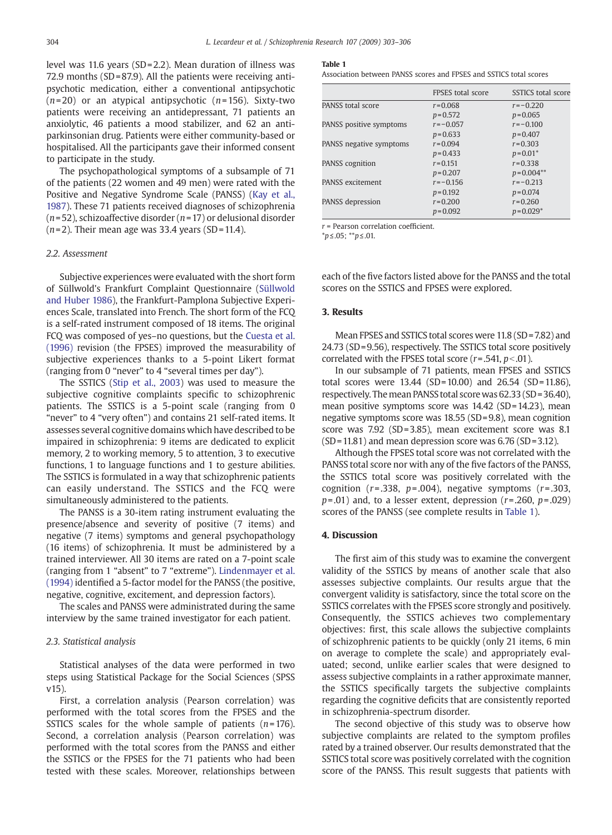level was 11.6 years (SD=2.2). Mean duration of illness was 72.9 months (SD=87.9). All the patients were receiving antipsychotic medication, either a conventional antipsychotic  $(n=20)$  or an atypical antipsychotic  $(n=156)$ . Sixty-two patients were receiving an antidepressant, 71 patients an anxiolytic, 46 patients a mood stabilizer, and 62 an antiparkinsonian drug. Patients were either community-based or hospitalised. All the participants gave their informed consent to participate in the study.

The psychopathological symptoms of a subsample of 71 of the patients (22 women and 49 men) were rated with the Positive and Negative Syndrome Scale (PANSS) ([Kay et al.,](#page-2-0) [1987\)](#page-2-0). These 71 patients received diagnoses of schizophrenia ( $n=52$ ), schizoaffective disorder ( $n=17$ ) or delusional disorder  $(n= 2)$ . Their mean age was 33.4 years (SD = 11.4).

# 2.2. Assessment

Subjective experiences were evaluated with the short form of Süllwold's Frankfurt Complaint Questionnaire ([Süllwold](#page-3-0) [and Huber 1986\)](#page-3-0), the Frankfurt-Pamplona Subjective Experiences Scale, translated into French. The short form of the FCQ is a self-rated instrument composed of 18 items. The original FCQ was composed of yes–no questions, but the [Cuesta et al.](#page-2-0) [\(1996\)](#page-2-0) revision (the FPSES) improved the measurability of subjective experiences thanks to a 5-point Likert format (ranging from 0 "never" to 4 "several times per day").

The SSTICS [\(Stip et al., 2003](#page-3-0)) was used to measure the subjective cognitive complaints specific to schizophrenic patients. The SSTICS is a 5-point scale (ranging from 0 "never" to 4 "very often") and contains 21 self-rated items. It assesses several cognitive domains which have described to be impaired in schizophrenia: 9 items are dedicated to explicit memory, 2 to working memory, 5 to attention, 3 to executive functions, 1 to language functions and 1 to gesture abilities. The SSTICS is formulated in a way that schizophrenic patients can easily understand. The SSTICS and the FCQ were simultaneously administered to the patients.

The PANSS is a 30-item rating instrument evaluating the presence/absence and severity of positive (7 items) and negative (7 items) symptoms and general psychopathology (16 items) of schizophrenia. It must be administered by a trained interviewer. All 30 items are rated on a 7-point scale (ranging from 1 "absent" to 7 "extreme"). [Lindenmayer et al.](#page-2-0) [\(1994\)](#page-2-0) identified a 5-factor model for the PANSS (the positive, negative, cognitive, excitement, and depression factors).

The scales and PANSS were administrated during the same interview by the same trained investigator for each patient.

## 2.3. Statistical analysis

Statistical analyses of the data were performed in two steps using Statistical Package for the Social Sciences (SPSS v15).

First, a correlation analysis (Pearson correlation) was performed with the total scores from the FPSES and the SSTICS scales for the whole sample of patients  $(n=176)$ . Second, a correlation analysis (Pearson correlation) was performed with the total scores from the PANSS and either the SSTICS or the FPSES for the 71 patients who had been tested with these scales. Moreover, relationships between

#### Table 1

Association between PANSS scores and FPSES and SSTICS total scores

|                         | <b>FPSES</b> total score | SSTICS total score |
|-------------------------|--------------------------|--------------------|
| PANSS total score       | $r = 0.068$              | $r = -0.220$       |
|                         | $p = 0.572$              | $p = 0.065$        |
| PANSS positive symptoms | $r = -0.057$             | $r = -0.100$       |
|                         | $p = 0.633$              | $p = 0.407$        |
| PANSS negative symptoms | $r = 0.094$              | $r = 0.303$        |
|                         | $p = 0.433$              | $p = 0.01*$        |
| <b>PANSS</b> cognition  | $r = 0.151$              | $r = 0.338$        |
|                         | $p = 0.207$              | $p = 0.004$ **     |
| PANSS excitement        | $r = -0.156$             | $r = -0.213$       |
|                         | $p = 0.192$              | $p = 0.074$        |
| PANSS depression        | $r = 0.200$              | $r = 0.260$        |
|                         | $p = 0.092$              | $p = 0.029*$       |
|                         |                          |                    |

 $r$  = Pearson correlation coefficient.

\*p≤.05; \*\*p≤.01.

each of the five factors listed above for the PANSS and the total scores on the SSTICS and FPSES were explored.

# 3. Results

Mean FPSES and SSTICS total scores were 11.8 (SD = 7.82) and 24.73 (SD=9.56), respectively. The SSTICS total score positively correlated with the FPSES total score  $(r=.541, p<.01)$ .

In our subsample of 71 patients, mean FPSES and SSTICS total scores were 13.44 (SD=10.00) and 26.54 (SD=11.86), respectively. The mean PANSS total score was 62.33 (SD = 36.40), mean positive symptoms score was 14.42 (SD = 14.23), mean negative symptoms score was 18.55 (SD=9.8), mean cognition score was 7.92 (SD=3.85), mean excitement score was 8.1  $(SD=11.81)$  and mean depression score was 6.76  $(SD=3.12)$ .

Although the FPSES total score was not correlated with the PANSS total score nor with any of the five factors of the PANSS, the SSTICS total score was positively correlated with the cognition  $(r=.338, p=.004)$ , negative symptoms  $(r=.303,$  $p = .01$ ) and, to a lesser extent, depression ( $r = .260$ ,  $p = .029$ ) scores of the PANSS (see complete results in Table 1).

# 4. Discussion

The first aim of this study was to examine the convergent validity of the SSTICS by means of another scale that also assesses subjective complaints. Our results argue that the convergent validity is satisfactory, since the total score on the SSTICS correlates with the FPSES score strongly and positively. Consequently, the SSTICS achieves two complementary objectives: first, this scale allows the subjective complaints of schizophrenic patients to be quickly (only 21 items, 6 min on average to complete the scale) and appropriately evaluated; second, unlike earlier scales that were designed to assess subjective complaints in a rather approximate manner, the SSTICS specifically targets the subjective complaints regarding the cognitive deficits that are consistently reported in schizophrenia-spectrum disorder.

The second objective of this study was to observe how subjective complaints are related to the symptom profiles rated by a trained observer. Our results demonstrated that the SSTICS total score was positively correlated with the cognition score of the PANSS. This result suggests that patients with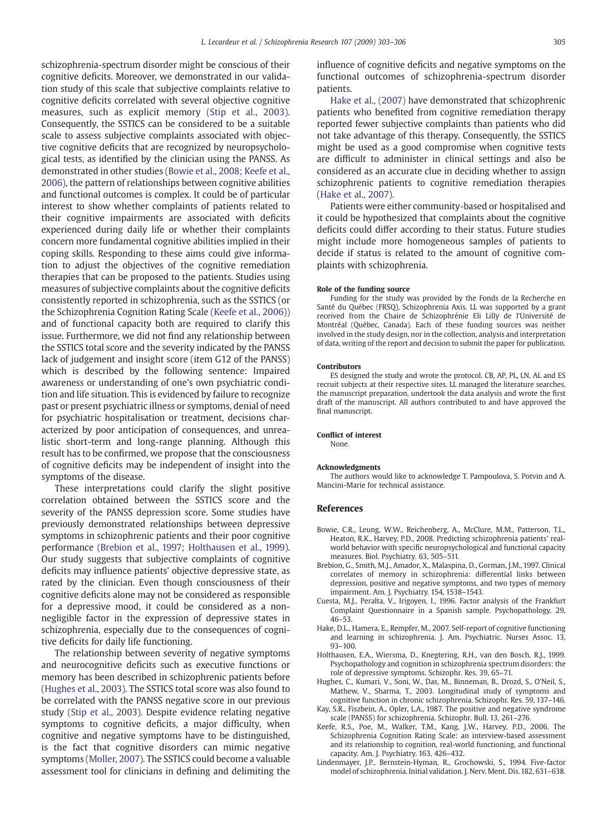<span id="page-2-0"></span>schizophrenia-spectrum disorder might be conscious of their cognitive deficits. Moreover, we demonstrated in our validation study of this scale that subjective complaints relative to cognitive deficits correlated with several objective cognitive measures, such as explicit memory ([Stip et al., 2003](#page-3-0)). Consequently, the SSTICS can be considered to be a suitable scale to assess subjective complaints associated with objective cognitive deficits that are recognized by neuropsychological tests, as identified by the clinician using the PANSS. As demonstrated in other studies (Bowie et al., 2008; Keefe et al., 2006), the pattern of relationships between cognitive abilities and functional outcomes is complex. It could be of particular interest to show whether complaints of patients related to their cognitive impairments are associated with deficits experienced during daily life or whether their complaints concern more fundamental cognitive abilities implied in their coping skills. Responding to these aims could give information to adjust the objectives of the cognitive remediation therapies that can be proposed to the patients. Studies using measures of subjective complaints about the cognitive deficits consistently reported in schizophrenia, such as the SSTICS (or the Schizophrenia Cognition Rating Scale (Keefe et al., 2006)) and of functional capacity both are required to clarify this issue. Furthermore, we did not find any relationship between the SSTICS total score and the severity indicated by the PANSS lack of judgement and insight score (item G12 of the PANSS) which is described by the following sentence: Impaired awareness or understanding of one's own psychiatric condition and life situation. This is evidenced by failure to recognize past or present psychiatric illness or symptoms, denial of need for psychiatric hospitalisation or treatment, decisions characterized by poor anticipation of consequences, and unrealistic short-term and long-range planning. Although this result has to be confirmed, we propose that the consciousness of cognitive deficits may be independent of insight into the symptoms of the disease.

These interpretations could clarify the slight positive correlation obtained between the SSTICS score and the severity of the PANSS depression score. Some studies have previously demonstrated relationships between depressive symptoms in schizophrenic patients and their poor cognitive performance (Brebion et al., 1997; Holthausen et al., 1999). Our study suggests that subjective complaints of cognitive deficits may influence patients' objective depressive state, as rated by the clinician. Even though consciousness of their cognitive deficits alone may not be considered as responsible for a depressive mood, it could be considered as a nonnegligible factor in the expression of depressive states in schizophrenia, especially due to the consequences of cognitive deficits for daily life functioning.

The relationship between severity of negative symptoms and neurocognitive deficits such as executive functions or memory has been described in schizophrenic patients before (Hughes et al., 2003). The SSTICS total score was also found to be correlated with the PANSS negative score in our previous study [\(Stip et al., 2003](#page-3-0)). Despite evidence relating negative symptoms to cognitive deficits, a major difficulty, when cognitive and negative symptoms have to be distinguished, is the fact that cognitive disorders can mimic negative symptoms [\(Moller, 2007](#page-3-0)). The SSTICS could become a valuable assessment tool for clinicians in defining and delimiting the

influence of cognitive deficits and negative symptoms on the functional outcomes of schizophrenia-spectrum disorder patients.

Hake et al., (2007) have demonstrated that schizophrenic patients who benefited from cognitive remediation therapy reported fewer subjective complaints than patients who did not take advantage of this therapy. Consequently, the SSTICS might be used as a good compromise when cognitive tests are difficult to administer in clinical settings and also be considered as an accurate clue in deciding whether to assign schizophrenic patients to cognitive remediation therapies (Hake et al., 2007).

Patients were either community-based or hospitalised and it could be hypothesized that complaints about the cognitive deficits could differ according to their status. Future studies might include more homogeneous samples of patients to decide if status is related to the amount of cognitive complaints with schizophrenia.

### Role of the funding source

Funding for the study was provided by the Fonds de la Recherche en Santé du Québec (FRSQ), Schizophrenia Axis. LL was supported by a grant received from the Chaire de Schizophrénie Eli Lilly de l'Université de Montréal (Québec, Canada). Each of these funding sources was neither involved in the study design, nor in the collection, analysis and interpretation of data, writing of the report and decision to submit the paper for publication.

#### Contributors

ES designed the study and wrote the protocol. CB, AP, PL, LN, AL and ES recruit subjects at their respective sites. LL managed the literature searches, the manuscript preparation, undertook the data analysis and wrote the first draft of the manuscript. All authors contributed to and have approved the final manuscript.

#### Conflict of interest

None.

### Acknowledgments

The authors would like to acknowledge T. Pampoulova, S. Potvin and A. Mancini-Marie for technical assistance.

# References

- Bowie, C.R., Leung, W.W., Reichenberg, A., McClure, M.M., Patterson, T.L., Heaton, R.K., Harvey, P.D., 2008. Predicting schizophrenia patients' realworld behavior with specific neuropsychological and functional capacity measures. Biol. Psychiatry. 63, 505–511.
- Brebion, G., Smith, M.J., Amador, X., Malaspina, D., Gorman, J.M., 1997. Clinical correlates of memory in schizophrenia: differential links between depression, positive and negative symptoms, and two types of memory impairment. Am. J. Psychiatry. 154, 1538–1543.
- Cuesta, M.J., Peralta, V., Irigoyen, I., 1996. Factor analysis of the Frankfurt Complaint Questionnaire in a Spanish sample. Psychopathology. 29, 46–53.
- Hake, D.L., Hamera, E., Rempfer, M., 2007. Self-report of cognitive functioning and learning in schizophrenia. J. Am. Psychiatric. Nurses Assoc. 13, 93–100.
- Holthausen, E.A., Wiersma, D., Knegtering, R.H., van den Bosch, R.J., 1999. Psychopathology and cognition in schizophrenia spectrum disorders: the role of depressive symptoms. Schizophr. Res. 39, 65–71.
- Hughes, C., Kumari, V., Soni, W., Das, M., Binneman, B., Drozd, S., O'Neil, S., Mathew, V., Sharma, T., 2003. Longitudinal study of symptoms and cognitive function in chronic schizophrenia. Schizophr. Res. 59, 137–146.
- Kay, S.R., Fiszbein, A., Opler, L.A., 1987. The positive and negative syndrome scale (PANSS) for schizophrenia. Schizophr. Bull. 13, 261–276.
- Keefe, R.S., Poe, M., Walker, T.M., Kang, J.W., Harvey, P.D., 2006. The Schizophrenia Cognition Rating Scale: an interview-based assessment and its relationship to cognition, real-world functioning, and functional capacity. Am. J. Psychiatry. 163, 426–432.
- Lindenmayer, J.P., Bernstein-Hyman, R., Grochowski, S., 1994. Five-factor model of schizophrenia. Initial validation. J. Nerv. Ment. Dis.182, 631–638.